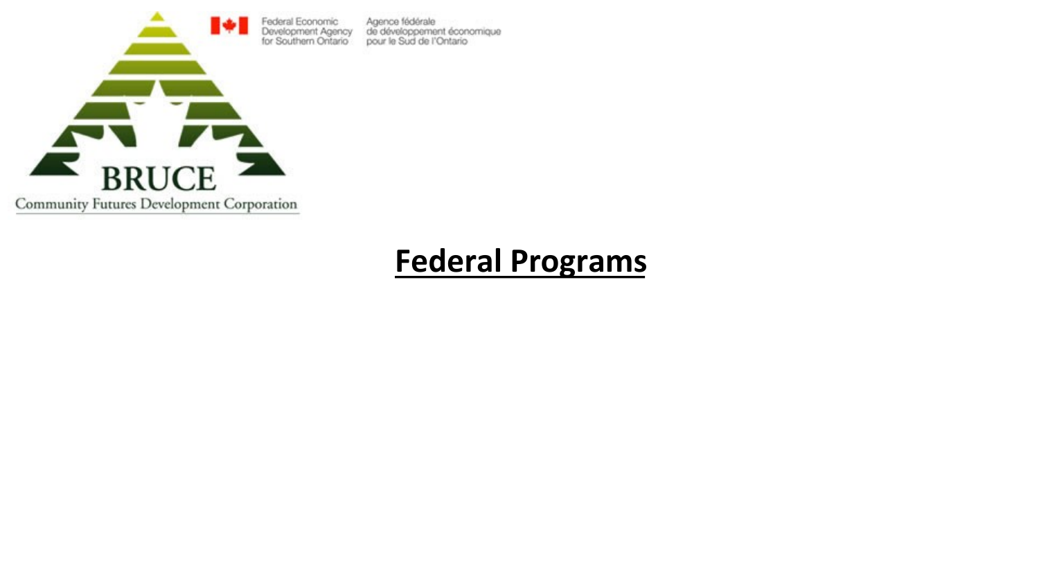

## **Federal Programs**